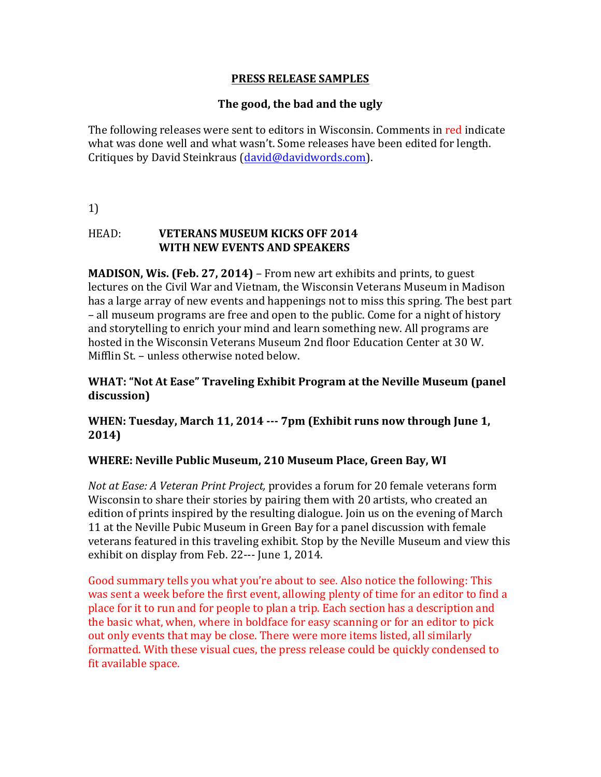### **PRESS RELEASE SAMPLES**

# **The good, the bad and the ugly**

The following releases were sent to editors in Wisconsin. Comments in red indicate what was done well and what wasn't. Some releases have been edited for length. Critiques by David Steinkraus (david@davidwords.com).

1)

# **HEAD: <b>VETERANS MUSEUM KICKS OFF 2014 WITH NEW EVENTS AND SPEAKERS**

**MADISON, Wis. (Feb. 27, 2014)** – From new art exhibits and prints, to guest lectures on the Civil War and Vietnam, the Wisconsin Veterans Museum in Madison has a large array of new events and happenings not to miss this spring. The best part – all museum programs are free and open to the public. Come for a night of history and storytelling to enrich your mind and learn something new. All programs are hosted in the Wisconsin Veterans Museum 2nd floor Education Center at 30 W. Mifflin St. – unless otherwise noted below.

## **WHAT: "Not At Ease" Traveling Exhibit Program at the Neville Museum (panel** discussion)

**WHEN: Tuesday, March 11, 2014 --- 7pm (Exhibit runs now through June 1, 2014)**

## **WHERE: Neville Public Museum, 210 Museum Place, Green Bay, WI**

*Not at Ease: A Veteran Print Project, provides a forum for 20 female veterans form* Wisconsin to share their stories by pairing them with 20 artists, who created an edition of prints inspired by the resulting dialogue. Join us on the evening of March 11 at the Neville Pubic Museum in Green Bay for a panel discussion with female veterans featured in this traveling exhibit. Stop by the Neville Museum and view this exhibit on display from Feb.  $22--$  June 1, 2014.

Good summary tells you what you're about to see. Also notice the following: This was sent a week before the first event, allowing plenty of time for an editor to find a place for it to run and for people to plan a trip. Each section has a description and the basic what, when, where in boldface for easy scanning or for an editor to pick out only events that may be close. There were more items listed, all similarly formatted. With these visual cues, the press release could be quickly condensed to fit available space.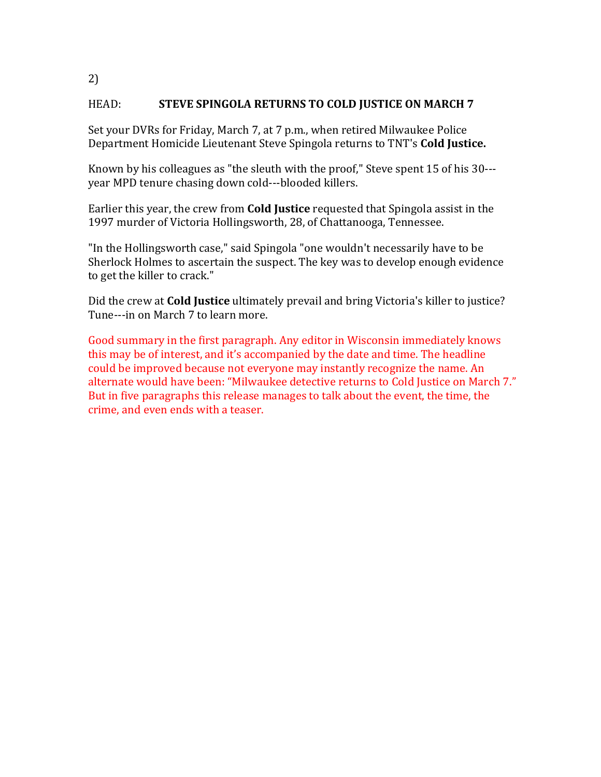### HEAD: **STEVE SPINGOLA RETURNS TO COLD JUSTICE ON MARCH 7**

Set your DVRs for Friday, March 7, at 7 p.m., when retired Milwaukee Police Department Homicide Lieutenant Steve Spingola returns to TNT's **Cold Justice.** 

Known by his colleagues as "the sleuth with the proof," Steve spent 15 of his 30--year MPD tenure chasing down cold---blooded killers.

Earlier this year, the crew from **Cold Justice** requested that Spingola assist in the 1997 murder of Victoria Hollingsworth, 28, of Chattanooga, Tennessee.

"In the Hollingsworth case," said Spingola "one wouldn't necessarily have to be Sherlock Holmes to ascertain the suspect. The key was to develop enough evidence to get the killer to crack."

Did the crew at **Cold Justice** ultimately prevail and bring Victoria's killer to justice? Tune---in on March 7 to learn more.

Good summary in the first paragraph. Any editor in Wisconsin immediately knows this may be of interest, and it's accompanied by the date and time. The headline could be improved because not everyone may instantly recognize the name. An alternate would have been: "Milwaukee detective returns to Cold Justice on March 7." But in five paragraphs this release manages to talk about the event, the time, the crime, and even ends with a teaser.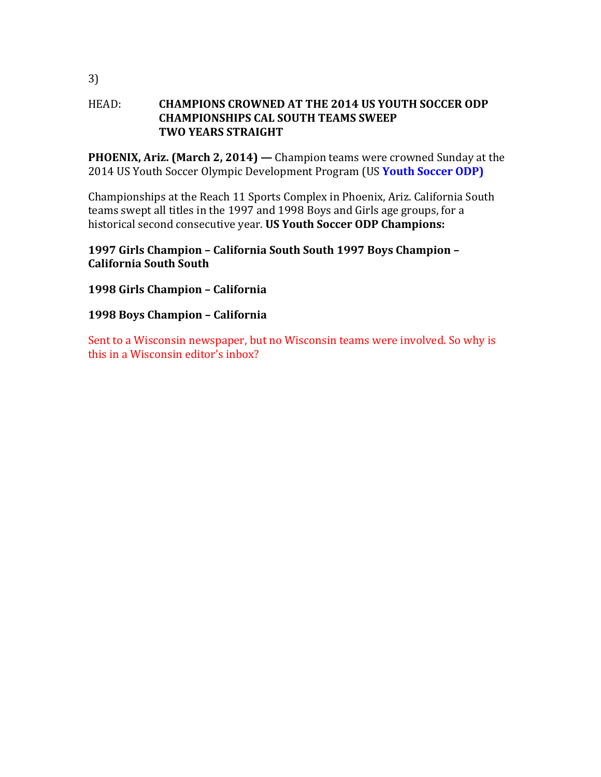#### **HEAD: CHAMPIONS CROWNED AT THE 2014 US YOUTH SOCCER ODP CHAMPIONSHIPS CAL SOUTH TEAMS SWEEP TWO YEARS STRAIGHT**

**PHOENIX, Ariz. (March 2, 2014)** — Champion teams were crowned Sunday at the 2014 US Youth Soccer Olympic Development Program (US Youth Soccer ODP)

Championships at the Reach 11 Sports Complex in Phoenix, Ariz. California South teams swept all titles in the 1997 and 1998 Boys and Girls age groups, for a historical second consecutive year. **US Youth Soccer ODP Champions:** 

## **1997 Girls Champion – California South South 1997 Boys Champion – California South South**

# **1998 Girls Champion – California**

# **1998 Boys Champion – California**

Sent to a Wisconsin newspaper, but no Wisconsin teams were involved. So why is this in a Wisconsin editor's inbox?

3)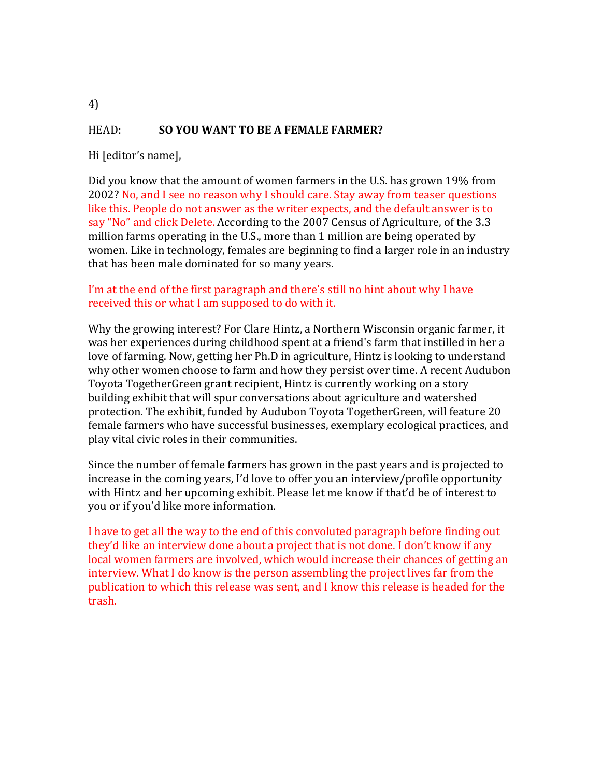# HEAD: **SO YOU WANT TO BE A FEMALE FARMER?**

Hi [editor's name],

Did you know that the amount of women farmers in the U.S. has grown 19% from 2002? No, and I see no reason why I should care. Stay away from teaser questions like this. People do not answer as the writer expects, and the default answer is to say "No" and click Delete. According to the 2007 Census of Agriculture, of the 3.3 million farms operating in the U.S., more than 1 million are being operated by women. Like in technology, females are beginning to find a larger role in an industry that has been male dominated for so many years.

### I'm at the end of the first paragraph and there's still no hint about why I have received this or what I am supposed to do with it.

Why the growing interest? For Clare Hintz, a Northern Wisconsin organic farmer, it was her experiences during childhood spent at a friend's farm that instilled in her a love of farming. Now, getting her Ph.D in agriculture, Hintz is looking to understand why other women choose to farm and how they persist over time. A recent Audubon Toyota TogetherGreen grant recipient, Hintz is currently working on a story building exhibit that will spur conversations about agriculture and watershed protection. The exhibit, funded by Audubon Toyota TogetherGreen, will feature 20 female farmers who have successful businesses, exemplary ecological practices, and play vital civic roles in their communities.

Since the number of female farmers has grown in the past years and is projected to increase in the coming years, I'd love to offer you an interview/profile opportunity with Hintz and her upcoming exhibit. Please let me know if that'd be of interest to you or if you'd like more information.

I have to get all the way to the end of this convoluted paragraph before finding out they'd like an interview done about a project that is not done. I don't know if any local women farmers are involved, which would increase their chances of getting an interview. What I do know is the person assembling the project lives far from the publication to which this release was sent, and I know this release is headed for the trash.

4)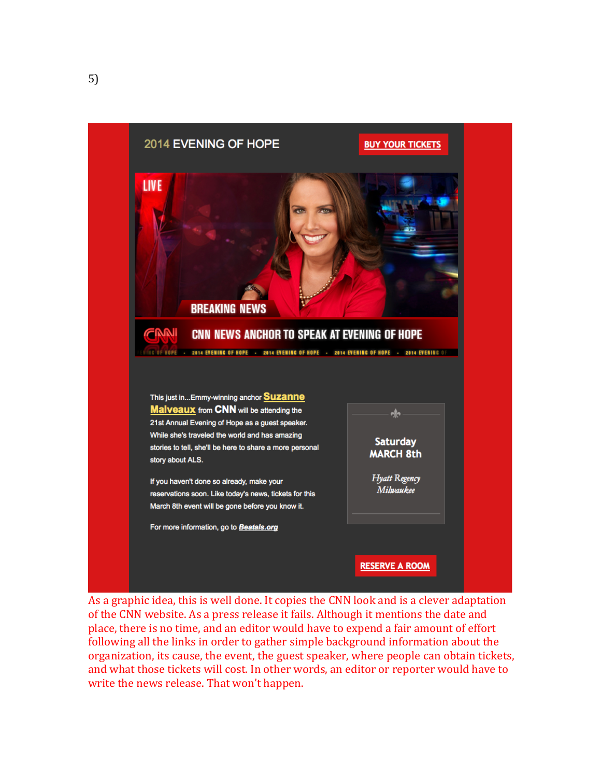

As a graphic idea, this is well done. It copies the CNN look and is a clever adaptation of the CNN website. As a press release it fails. Although it mentions the date and place, there is no time, and an editor would have to expend a fair amount of effort following all the links in order to gather simple background information about the organization, its cause, the event, the guest speaker, where people can obtain tickets, and what those tickets will cost. In other words, an editor or reporter would have to write the news release. That won't happen.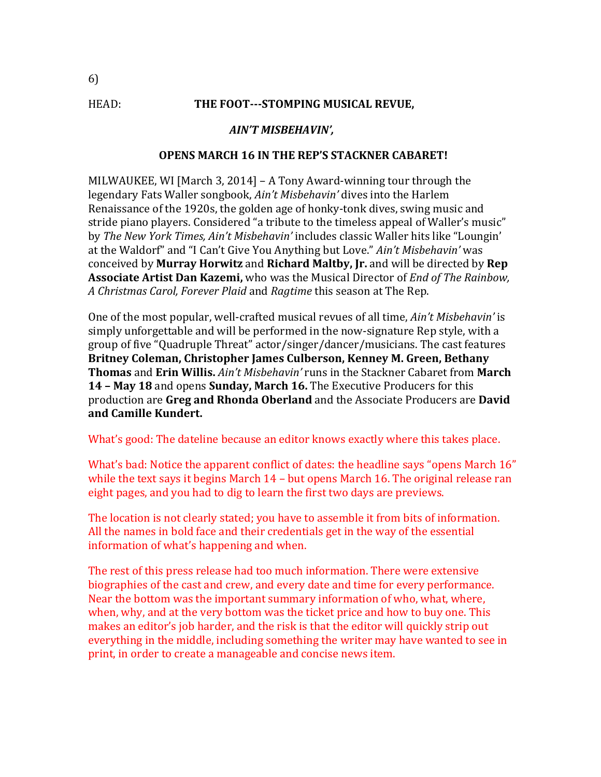#### HEAD: **THE FOOT---STOMPING MUSICAL REVUE,**

#### *AIN'T MISBEHAVIN',*

#### **OPENS MARCH 16 IN THE REP'S STACKNER CABARET!**

MILWAUKEE, WI [March 3, 2014] – A Tony Award-winning tour through the legendary Fats Waller songbook, *Ain't Misbehavin'* dives into the Harlem Renaissance of the 1920s, the golden age of honky-tonk dives, swing music and stride piano players. Considered "a tribute to the timeless appeal of Waller's music" by *The New York Times, Ain't Misbehavin'* includes classic Waller hits like "Loungin' at the Waldorf" and "I Can't Give You Anything but Love." *Ain't Misbehavin'* was conceived by Murray Horwitz and Richard Maltby, Jr. and will be directed by Rep Associate Artist Dan Kazemi, who was the Musical Director of *End of The Rainbow*, *A Christmas Carol, Forever Plaid* and *Ragtime* this season at The Rep.

One of the most popular, well-crafted musical revues of all time, *Ain't Misbehavin'* is simply unforgettable and will be performed in the now-signature Rep style, with a group of five "Quadruple Threat" actor/singer/dancer/musicians. The cast features Britney Coleman, Christopher James Culberson, Kenney M. Green, Bethany **Thomas** and **Erin Willis.** *Ain't Misbehavin'* runs in the Stackner Cabaret from **March 14 – May 18** and opens **Sunday, March 16.** The Executive Producers for this production are Greg and Rhonda Oberland and the Associate Producers are David **and Camille Kundert.**

What's good: The dateline because an editor knows exactly where this takes place.

What's bad: Notice the apparent conflict of dates: the headline says "opens March 16" while the text says it begins March  $14$  – but opens March 16. The original release ran eight pages, and you had to dig to learn the first two days are previews.

The location is not clearly stated; you have to assemble it from bits of information. All the names in bold face and their credentials get in the way of the essential information of what's happening and when.

The rest of this press release had too much information. There were extensive biographies of the cast and crew, and every date and time for every performance. Near the bottom was the important summary information of who, what, where, when, why, and at the very bottom was the ticket price and how to buy one. This makes an editor's job harder, and the risk is that the editor will quickly strip out everything in the middle, including something the writer may have wanted to see in print, in order to create a manageable and concise news item.